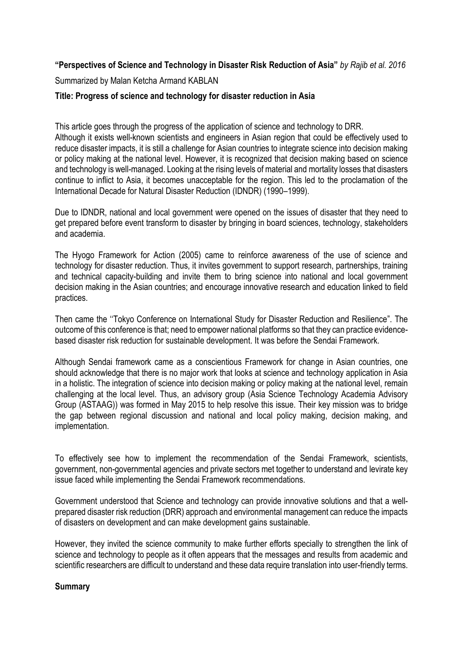## **"Perspectives of Science and Technology in Disaster Risk Reduction of Asia"** *by Rajib et al. 2016*

Summarized by Malan Ketcha Armand KABLAN

## **Title: Progress of science and technology for disaster reduction in Asia**

This article goes through the progress of the application of science and technology to DRR. Although it exists well-known scientists and engineers in Asian region that could be effectively used to reduce disaster impacts, it is still a challenge for Asian countries to integrate science into decision making or policy making at the national level. However, it is recognized that decision making based on science and technology is well-managed. Looking at the rising levels of material and mortality losses that disasters continue to inflict to Asia, it becomes unacceptable for the region. This led to the proclamation of the International Decade for Natural Disaster Reduction (IDNDR) (1990–1999).

Due to IDNDR, national and local government were opened on the issues of disaster that they need to get prepared before event transform to disaster by bringing in board sciences, technology, stakeholders and academia.

The Hyogo Framework for Action (2005) came to reinforce awareness of the use of science and technology for disaster reduction. Thus, it invites government to support research, partnerships, training and technical capacity-building and invite them to bring science into national and local government decision making in the Asian countries; and encourage innovative research and education linked to field practices.

Then came the ''Tokyo Conference on International Study for Disaster Reduction and Resilience". The outcome of this conference is that; need to empower national platforms so that they can practice evidencebased disaster risk reduction for sustainable development. It was before the Sendai Framework.

Although Sendai framework came as a conscientious Framework for change in Asian countries, one should acknowledge that there is no major work that looks at science and technology application in Asia in a holistic. The integration of science into decision making or policy making at the national level, remain challenging at the local level. Thus, an advisory group (Asia Science Technology Academia Advisory Group (ASTAAG)) was formed in May 2015 to help resolve this issue. Their key mission was to bridge the gap between regional discussion and national and local policy making, decision making, and implementation.

To effectively see how to implement the recommendation of the Sendai Framework, scientists, government, non-governmental agencies and private sectors met together to understand and levirate key issue faced while implementing the Sendai Framework recommendations.

Government understood that Science and technology can provide innovative solutions and that a wellprepared disaster risk reduction (DRR) approach and environmental management can reduce the impacts of disasters on development and can make development gains sustainable.

However, they invited the science community to make further efforts specially to strengthen the link of science and technology to people as it often appears that the messages and results from academic and scientific researchers are difficult to understand and these data require translation into user-friendly terms.

## **Summary**